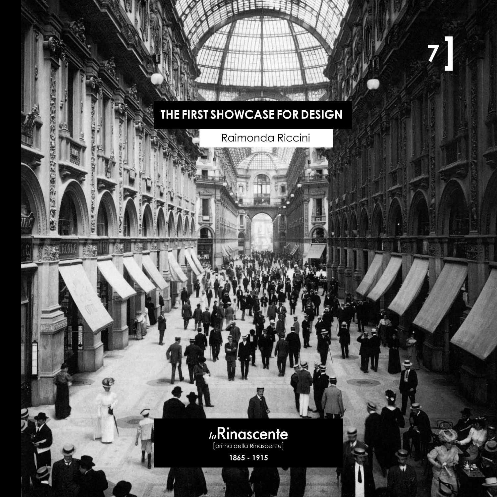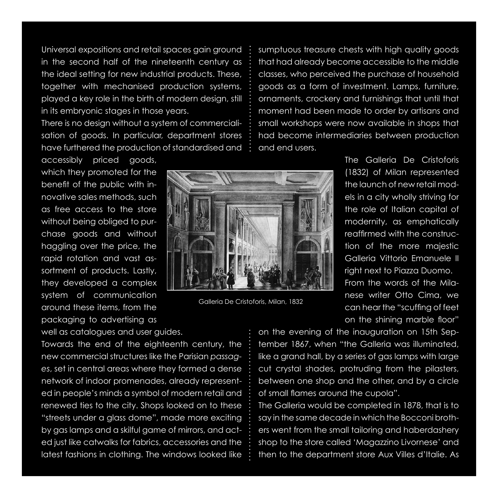Universal expositions and retail spaces gain ground in the second half of the nineteenth century as the ideal setting for new industrial products. These, together with mechanised production systems, played a key role in the birth of modern design, still in its embryonic stages in those years.

There is no design without a system of commercialisation of goods. In particular, department stores have furthered the production of standardised and

accessibly priced goods, which they promoted for the benefit of the public with innovative sales methods, such as free access to the store without being obliged to purchase goods and without haggling over the price, the rapid rotation and vast assortment of products. Lastly, they developed a complex system of communication around these items, from the packaging to advertising as

well as catalogues and user guides.

Towards the end of the eighteenth century, the new commercial structures like the Parisian *passages*, set in central areas where they formed a dense network of indoor promenades, already represented in people's minds a symbol of modern retail and renewed ties to the city. Shops looked on to these "streets under a glass dome", made more exciting by gas lamps and a skilful game of mirrors, and acted just like catwalks for fabrics, accessories and the latest fashions in clothing. The windows looked like

sumptuous treasure chests with high quality goods that had already become accessible to the middle classes, who perceived the purchase of household goods as a form of investment. Lamps, furniture, ornaments, crockery and furnishings that until that moment had been made to order by artisans and small workshops were now available in shops that had become intermediaries between production and end users.

> The Galleria De Cristoforis (1832) of Milan represented the launch of new retail models in a city wholly striving for the role of Italian capital of modernity, as emphatically reaffirmed with the construction of the more majestic Galleria Vittorio Emanuele II right next to Piazza Duomo. From the words of the Milanese writer Otto Cima, we can hear the "scuffing of feet on the shining marble floor"

on the evening of the inauguration on 15th September 1867, when "the Galleria was illuminated, like a grand hall, by a series of gas lamps with large cut crystal shades, protruding from the pilasters, between one shop and the other, and by a circle of small flames around the cupola".

The Galleria would be completed in 1878, that is to say in the same decade in which the Bocconi brothers went from the small tailoring and haberdashery shop to the store called 'Magazzino Livornese' and then to the department store Aux Villes d'Italie. As



Galleria De Cristoforis, Milan, 1832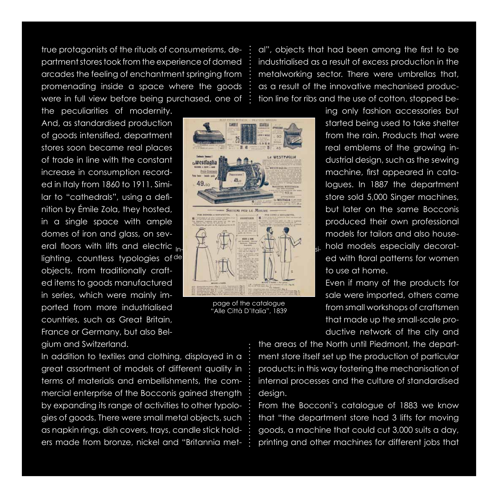true protagonists of the rituals of consumerisms, department stores took from the experience of domed arcades the feeling of enchantment springing from promenading inside a space where the goods were in full view before being purchased, one of

the peculiarities of modernity. And, as standardised production of goods intensified, department stores soon became real places of trade in line with the constant increase in consumption recorded in Italy from 1860 to 1911. Similar to "cathedrals", using a definition by Émile Zola, they hosted, in a single space with ample domes of iron and glass, on several floors with lifts and electric lighting, countless typologies of <sup>de</sup>l objects, from traditionally crafted items to goods manufactured in series, which were mainly imported from more industrialised countries, such as Great Britain, France or Germany, but also Belgium and Switzerland.



page of the catalogue "Alle Città D'Italia", 1839

al", objects that had been among the first to be industrialised as a result of excess production in the metalworking sector. There were umbrellas that, as a result of the innovative mechanised production line for ribs and the use of cotton, stopped be-

> ing only fashion accessories but started being used to take shelter from the rain. Products that were real emblems of the growing industrial design, such as the sewing machine, first appeared in catalogues. In 1887 the department store sold 5,000 Singer machines, but later on the same Bocconis produced their own professional models for tailors and also household models especially decorated with floral patterns for women to use at home.

> Even if many of the products for sale were imported, others came from small workshops of craftsmen that made up the small-scale productive network of the city and

In addition to textiles and clothing, displayed in a great assortment of models of different quality in terms of materials and embellishments, the commercial enterprise of the Bocconis gained strength by expanding its range of activities to other typologies of goods. There were small metal objects, such as napkin rings, dish covers, trays, candle stick holders made from bronze, nickel and "Britannia met-

the areas of the North until Piedmont, the department store itself set up the production of particular products: in this way fostering the mechanisation of internal processes and the culture of standardised design.

From the Bocconi's catalogue of 1883 we know that "the department store had 3 lifts for moving goods, a machine that could cut 3,000 suits a day, printing and other machines for different jobs that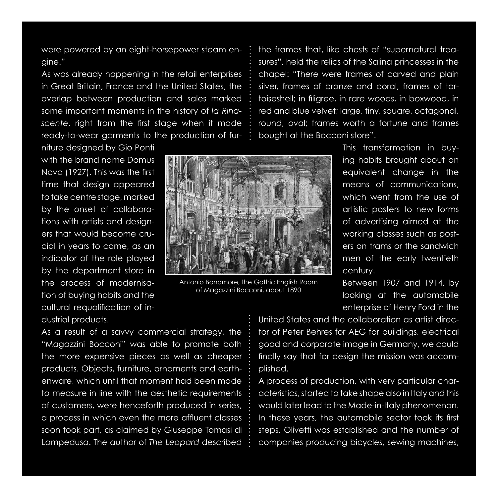were powered by an eight-horsepower steam engine."

As was already happening in the retail enterprises in Great Britain, France and the United States, the overlap between production and sales marked some important moments in the history of *la Rinascente*, right from the first stage when it made ready-to-wear garments to the production of fur-

niture designed by Gio Ponti with the brand name Domus Nova (1927). This was the first time that design appeared to take centre stage, marked by the onset of collaborations with artists and designers that would become crucial in years to come, as an indicator of the role played by the department store in the process of modernisation of buying habits and the cultural requalification of industrial products.



Antonio Bonamore, the Gothic English Room of Magazzini Bocconi, about 1890

the frames that, like chests of "supernatural treasures", held the relics of the Salina princesses in the chapel: "There were frames of carved and plain silver, frames of bronze and coral, frames of tortoiseshell; in filigree, in rare woods, in boxwood, in red and blue velvet; large, tiny, square, octagonal, round, oval; frames worth a fortune and frames bought at the Bocconi store".

> This transformation in buying habits brought about an equivalent change in the means of communications, which went from the use of artistic posters to new forms of advertising aimed at the working classes such as posters on trams or the sandwich men of the early twentieth century.

> Between 1907 and 1914, by looking at the automobile enterprise of Henry Ford in the

As a result of a savvy commercial strategy, the "Magazzini Bocconi" was able to promote both the more expensive pieces as well as cheaper products. Objects, furniture, ornaments and earthenware, which until that moment had been made to measure in line with the aesthetic requirements of customers, were henceforth produced in series, a process in which even the more affluent classes soon took part, as claimed by Giuseppe Tomasi di Lampedusa. The author of *The Leopard* described

United States and the collaboration as artist director of Peter Behres for AEG for buildings, electrical good and corporate image in Germany, we could finally say that for design the mission was accomplished.

A process of production, with very particular characteristics, started to take shape also in Italy and this would later lead to the Made-in-Italy phenomenon. In these years, the automobile sector took its first steps, Olivetti was established and the number of companies producing bicycles, sewing machines,